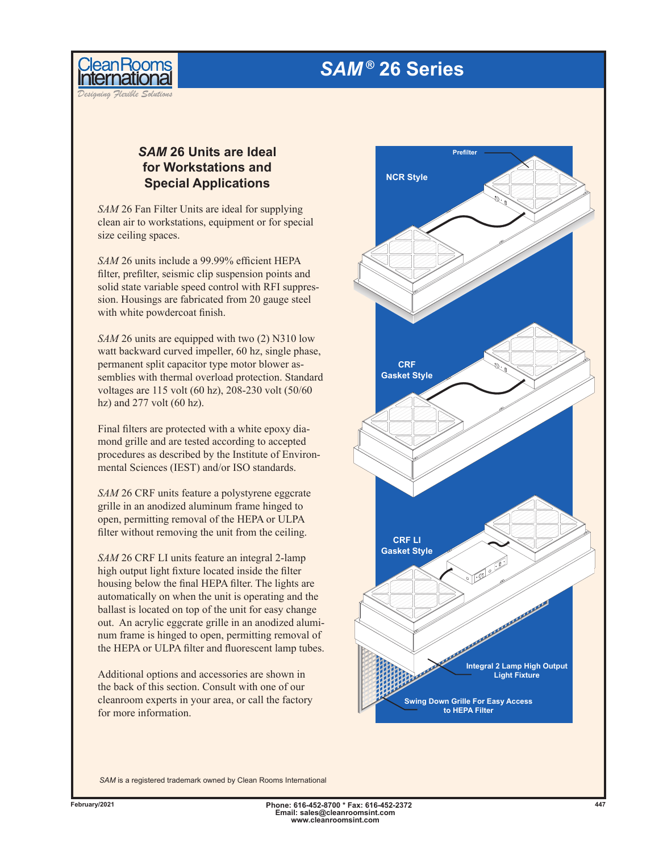## *SAM ®* **26 Series**



*Designing Flexible Solutions*

## *SAM* **26 Units are Ideal for Workstations and Special Applications**

*SAM* 26 Fan Filter Units are ideal for supplying clean air to workstations, equipment or for special size ceiling spaces.

*SAM* 26 units include a 99.99% efficient HEPA filter, prefilter, seismic clip suspension points and solid state variable speed control with RFI suppression. Housings are fabricated from 20 gauge steel with white powdercoat finish.

*SAM* 26 units are equipped with two (2) N310 low watt backward curved impeller, 60 hz, single phase, permanent split capacitor type motor blower assemblies with thermal overload protection. Standard voltages are 115 volt (60 hz), 208-230 volt (50/60 hz) and  $277$  volt  $(60 \text{ hz})$ .

Final filters are protected with a white epoxy diamond grille and are tested according to accepted procedures as described by the Institute of Environmental Sciences (IEST) and/or ISO standards.

*SAM* 26 CRF units feature a polystyrene eggcrate grille in an anodized aluminum frame hinged to open, permitting removal of the HEPA or ULPA filter without removing the unit from the ceiling.

*SAM* 26 CRF LI units feature an integral 2-lamp high output light fixture located inside the filter housing below the final HEPA filter. The lights are automatically on when the unit is operating and the ballast is located on top of the unit for easy change out. An acrylic eggcrate grille in an anodized aluminum frame is hinged to open, permitting removal of the HEPA or ULPA filter and fluorescent lamp tubes.

Additional options and accessories are shown in the back of this section. Consult with one of our cleanroom experts in your area, or call the factory for more information.



*SAM* is a registered trademark owned by Clean Rooms International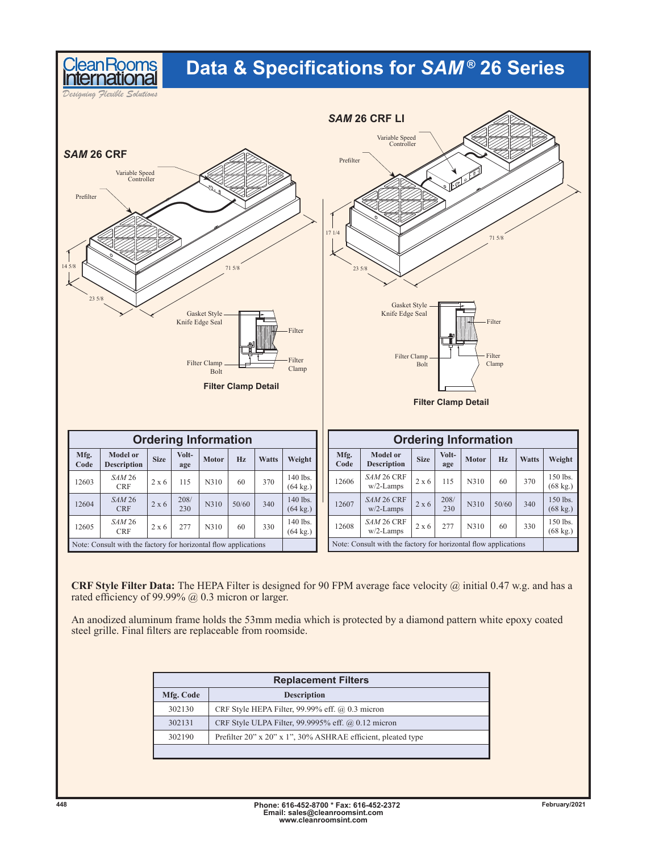## **Data & Specifications for** *SAM ®* **26 Series**

*Designing Flexible Solutions*

Clean Rooms



**CRF Style Filter Data:** The HEPA Filter is designed for 90 FPM average face velocity @ initial 0.47 w.g. and has a rated efficiency of 99.99% @ 0.3 micron or larger.

An anodized aluminum frame holds the 53mm media which is protected by a diamond pattern white epoxy coated steel grille. Final filters are replaceable from roomside.

| <b>Replacement Filters</b> |                                                              |  |  |  |  |  |  |  |
|----------------------------|--------------------------------------------------------------|--|--|--|--|--|--|--|
| Mfg. Code                  | <b>Description</b>                                           |  |  |  |  |  |  |  |
| 302130                     | CRF Style HEPA Filter, 99.99% eff. $(a)$ 0.3 micron          |  |  |  |  |  |  |  |
| 302131                     | CRF Style ULPA Filter, 99.9995% eff. @ 0.12 micron           |  |  |  |  |  |  |  |
| 302190                     | Prefilter 20" x 20" x 1", 30% ASHRAE efficient, pleated type |  |  |  |  |  |  |  |
|                            |                                                              |  |  |  |  |  |  |  |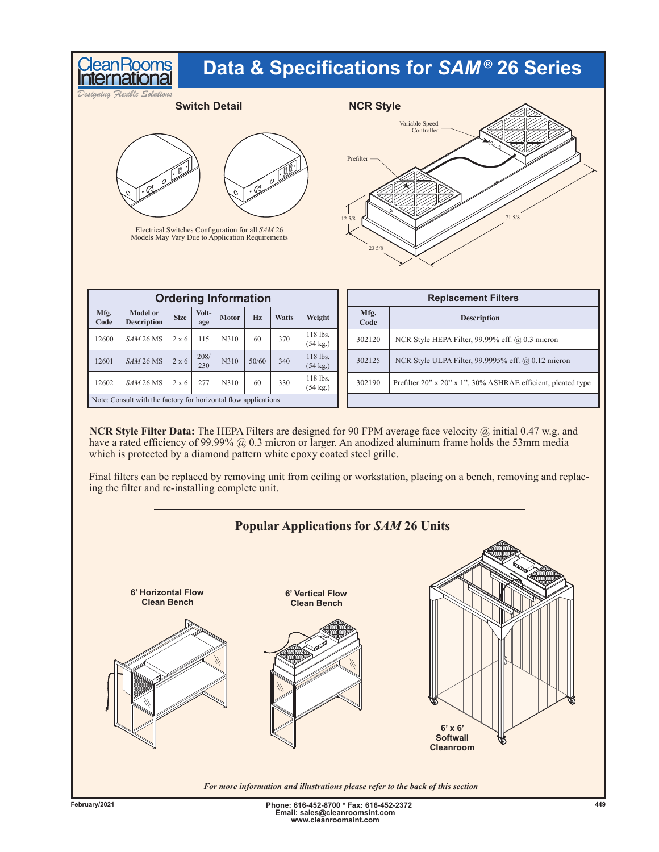|                                                                                                                                                                                                         | eanRooms                              | Data & Specifications for SAM® 26 Series |              |              |       |              |                                |                                    |                                                              |  |  |  |
|---------------------------------------------------------------------------------------------------------------------------------------------------------------------------------------------------------|---------------------------------------|------------------------------------------|--------------|--------------|-------|--------------|--------------------------------|------------------------------------|--------------------------------------------------------------|--|--|--|
| Designing Flexible Solutions<br><b>Switch Detail</b>                                                                                                                                                    |                                       |                                          |              |              |       |              |                                | <b>NCR Style</b><br>Variable Speed |                                                              |  |  |  |
| Controller<br>Prefilter<br>$\sqrt{2}$<br>$Q$ $\sqrt{.Q}$<br>$\sigma$<br>71 5/8<br>125/8<br>Electrical Switches Configuration for all SAM 26<br>Models May Vary Due to Application Requirements<br>235/8 |                                       |                                          |              |              |       |              |                                |                                    |                                                              |  |  |  |
| <b>Ordering Information</b>                                                                                                                                                                             |                                       |                                          |              |              |       |              |                                | <b>Replacement Filters</b>         |                                                              |  |  |  |
| Mfg.<br>Code                                                                                                                                                                                            | <b>Model or</b><br><b>Description</b> | <b>Size</b>                              | Volt-<br>age | <b>Motor</b> | Hz    | <b>Watts</b> | Weight                         | Mfg.<br>Code                       | Description                                                  |  |  |  |
| 12600                                                                                                                                                                                                   | SAM 26 MS                             | $2 \times 6$                             | 115          | N310         | 60    | 370          | 118 lbs.<br>$(54 \text{ kg.})$ | 302120                             | NCR Style HEPA Filter, 99.99% eff. @ 0.3 micron              |  |  |  |
| 12601                                                                                                                                                                                                   | SAM 26 MS                             | $2 \times 6$                             | 208/<br>230  | N310         | 50/60 | 340          | 118 lbs.<br>$(54 \text{ kg.})$ | 302125                             | NCR Style ULPA Filter, 99.9995% eff. @ 0.12 micron           |  |  |  |
| 12602                                                                                                                                                                                                   | SAM 26 MS                             | 2 x 6                                    | 277          | N310         | 60    | 330          | 118 lbs.<br>$(54 \text{ kg.})$ | 302190                             | Prefilter 20" x 20" x 1", 30% ASHRAE efficient, pleated type |  |  |  |
| Note: Consult with the factory for horizontal flow applications                                                                                                                                         |                                       |                                          |              |              |       |              |                                |                                    |                                                              |  |  |  |

**NCR Style Filter Data:** The HEPA Filters are designed for 90 FPM average face velocity @ initial 0.47 w.g. and have a rated efficiency of 99.99% @ 0.3 micron or larger. An anodized aluminum frame holds the 53mm media which is protected by a diamond pattern white epoxy coated steel grille.

Final filters can be replaced by removing unit from ceiling or workstation, placing on a bench, removing and replacing the filter and re-installing complete unit.